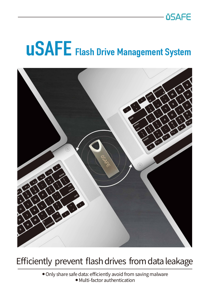# **USAFE** Flash Drive Management System



### Efficiently prevent flash drives from data leakage

● Only share safe data: efficiently avoid from saving malware ● Multi-factor authentication